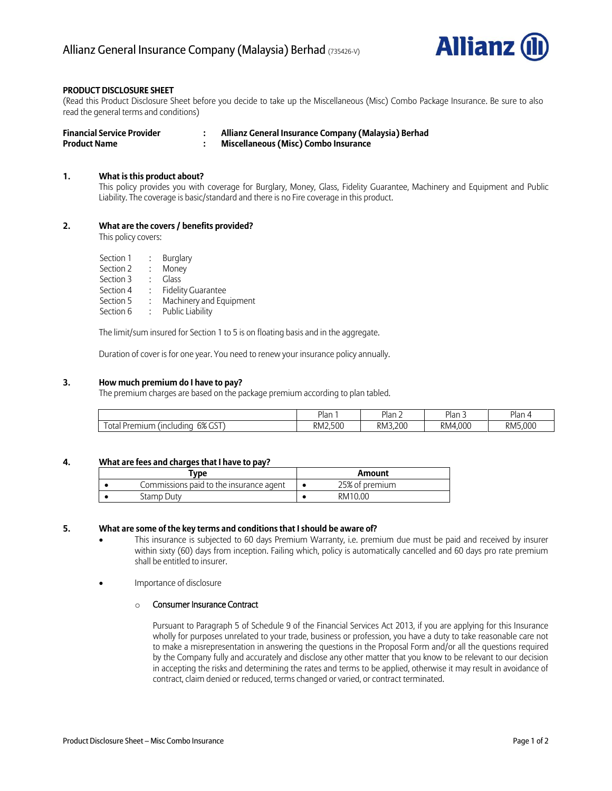

# **PRODUCT DISCLOSURE SHEET**

(Read this Product Disclosure Sheet before you decide to take up the Miscellaneous (Misc) Combo Package Insurance. Be sure to also read the general terms and conditions)

| <b>Financial Service Provider</b> | Allianz General Insurance Company (Malaysia) Berhad |
|-----------------------------------|-----------------------------------------------------|
| <b>Product Name</b>               | <b>Miscellaneous (Misc) Combo Insurance</b>         |

## **1. What is this product about?**

This policy provides you with coverage for Burglary, Money, Glass, Fidelity Guarantee, Machinery and Equipment and Public Liability. The coverage is basic/standard and there is no Fire coverage in this product.

# **2. What are the covers / benefits provided?**

This policy covers:

| Section 1 |  | Burglary |
|-----------|--|----------|
|           |  |          |

- Section 2 : Money
- Section 3 : Glass
- Section 4 : Fidelity Guarantee
- Section 5 : Machinery and Equipment
- Section 6 : Public Liability

The limit/sum insured for Section 1 to 5 is on floating basis and in the aggregate.

Duration of cover is for one year. You need to renew your insurance policy annually.

## **3. How much premium do I have to pay?**

The premium charges are based on the package premium according to plan tabled.

|                                                                                | <sup>D</sup> lan | Plan <sub>4</sub> | Plan:         | Plan    |
|--------------------------------------------------------------------------------|------------------|-------------------|---------------|---------|
| $\sim$ $\sim$<br>6%<br>otal<br>, <i>(including</i> )<br>$\cdots$<br>чшг<br>וכט | RM2.500          | RM3.200           | 4.000<br>RM4. | RM5.000 |

# **4. What are fees and charges that I have to pay?**

| Type                                    | Amount         |
|-----------------------------------------|----------------|
| Commissions paid to the insurance agent | 25% of premium |
| Stamp Dutv                              | RM10.00        |

#### **5. What are some of the key terms and conditions that I should be aware of?**

- This insurance is subjected to 60 days Premium Warranty, i.e. premium due must be paid and received by insurer within sixty (60) days from inception. Failing which, policy is automatically cancelled and 60 days pro rate premium shall be entitled to insurer.
- Importance of disclosure

## o Consumer Insurance Contract

Pursuant to Paragraph 5 of Schedule 9 of the Financial Services Act 2013, if you are applying for this Insurance wholly for purposes unrelated to your trade, business or profession, you have a duty to take reasonable care not to make a misrepresentation in answering the questions in the Proposal Form and/or all the questions required by the Company fully and accurately and disclose any other matter that you know to be relevant to our decision in accepting the risks and determining the rates and terms to be applied, otherwise it may result in avoidance of contract, claim denied or reduced, terms changed or varied, or contract terminated.